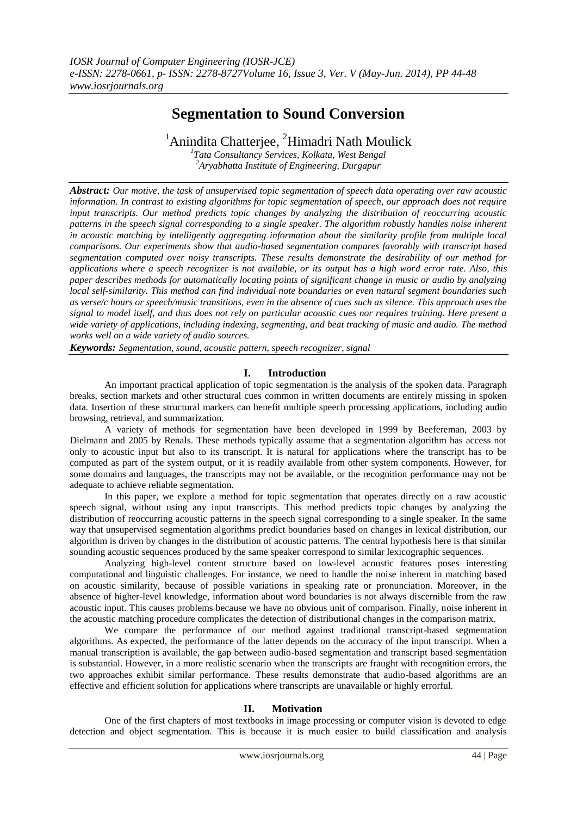# **Segmentation to Sound Conversion**

<sup>1</sup> Anindita Chatterjee, <sup>2</sup>Himadri Nath Moulick *1 Tata Consultancy Services, Kolkata, West Bengal*

*<sup>2</sup>Aryabhatta Institute of Engineering, Durgapur*

*Abstract: Our motive, the task of unsupervised topic segmentation of speech data operating over raw acoustic information. In contrast to existing algorithms for topic segmentation of speech, our approach does not require input transcripts. Our method predicts topic changes by analyzing the distribution of reoccurring acoustic patterns in the speech signal corresponding to a single speaker. The algorithm robustly handles noise inherent in acoustic matching by intelligently aggregating information about the similarity profile from multiple local comparisons. Our experiments show that audio-based segmentation compares favorably with transcript based segmentation computed over noisy transcripts. These results demonstrate the desirability of our method for applications where a speech recognizer is not available, or its output has a high word error rate. Also, this paper describes methods for automatically locating points of significant change in music or audio by analyzing local self-similarity. This method can find individual note boundaries or even natural segment boundaries such as verse/c hours or speech/music transitions, even in the absence of cues such as silence. This approach uses the signal to model itself, and thus does not rely on particular acoustic cues nor requires training. Here present a wide variety of applications, including indexing, segmenting, and beat tracking of music and audio. The method works well on a wide variety of audio sources.*

*Keywords: Segmentation, sound, acoustic pattern, speech recognizer, signal*

# **I. Introduction**

An important practical application of topic segmentation is the analysis of the spoken data. Paragraph breaks, section markets and other structural cues common in written documents are entirely missing in spoken data. Insertion of these structural markers can benefit multiple speech processing applications, including audio browsing, retrieval, and summarization.

A variety of methods for segmentation have been developed in 1999 by Beefereman, 2003 by Dielmann and 2005 by Renals. These methods typically assume that a segmentation algorithm has access not only to acoustic input but also to its transcript. It is natural for applications where the transcript has to be computed as part of the system output, or it is readily available from other system components. However, for some domains and languages, the transcripts may not be available, or the recognition performance may not be adequate to achieve reliable segmentation.

In this paper, we explore a method for topic segmentation that operates directly on a raw acoustic speech signal, without using any input transcripts. This method predicts topic changes by analyzing the distribution of reoccurring acoustic patterns in the speech signal corresponding to a single speaker. In the same way that unsupervised segmentation algorithms predict boundaries based on changes in lexical distribution, our algorithm is driven by changes in the distribution of acoustic patterns. The central hypothesis here is that similar sounding acoustic sequences produced by the same speaker correspond to similar lexicographic sequences.

Analyzing high-level content structure based on low-level acoustic features poses interesting computational and linguistic challenges. For instance, we need to handle the noise inherent in matching based on acoustic similarity, because of possible variations in speaking rate or pronunciation. Moreover, in the absence of higher-level knowledge, information about word boundaries is not always discernible from the raw acoustic input. This causes problems because we have no obvious unit of comparison. Finally, noise inherent in the acoustic matching procedure complicates the detection of distributional changes in the comparison matrix.

We compare the performance of our method against traditional transcript-based segmentation algorithms. As expected, the performance of the latter depends on the accuracy of the input transcript. When a manual transcription is available, the gap between audio-based segmentation and transcript based segmentation is substantial. However, in a more realistic scenario when the transcripts are fraught with recognition errors, the two approaches exhibit similar performance. These results demonstrate that audio-based algorithms are an effective and efficient solution for applications where transcripts are unavailable or highly errorful.

# **II. Motivation**

One of the first chapters of most textbooks in image processing or computer vision is devoted to edge detection and object segmentation. This is because it is much easier to build classification and analysis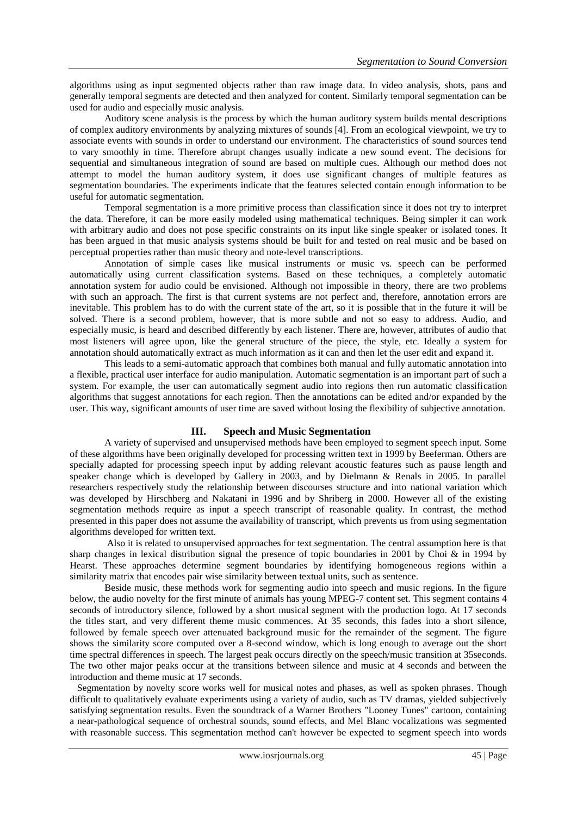algorithms using as input segmented objects rather than raw image data. In video analysis, shots, pans and generally temporal segments are detected and then analyzed for content. Similarly temporal segmentation can be used for audio and especially music analysis.

Auditory scene analysis is the process by which the human auditory system builds mental descriptions of complex auditory environments by analyzing mixtures of sounds [4]. From an ecological viewpoint, we try to associate events with sounds in order to understand our environment. The characteristics of sound sources tend to vary smoothly in time. Therefore abrupt changes usually indicate a new sound event. The decisions for sequential and simultaneous integration of sound are based on multiple cues. Although our method does not attempt to model the human auditory system, it does use significant changes of multiple features as segmentation boundaries. The experiments indicate that the features selected contain enough information to be useful for automatic segmentation.

Temporal segmentation is a more primitive process than classification since it does not try to interpret the data. Therefore, it can be more easily modeled using mathematical techniques. Being simpler it can work with arbitrary audio and does not pose specific constraints on its input like single speaker or isolated tones. It has been argued in that music analysis systems should be built for and tested on real music and be based on perceptual properties rather than music theory and note-level transcriptions.

Annotation of simple cases like musical instruments or music vs. speech can be performed automatically using current classification systems. Based on these techniques, a completely automatic annotation system for audio could be envisioned. Although not impossible in theory, there are two problems with such an approach. The first is that current systems are not perfect and, therefore, annotation errors are inevitable. This problem has to do with the current state of the art, so it is possible that in the future it will be solved. There is a second problem, however, that is more subtle and not so easy to address. Audio, and especially music, is heard and described differently by each listener. There are, however, attributes of audio that most listeners will agree upon, like the general structure of the piece, the style, etc. Ideally a system for annotation should automatically extract as much information as it can and then let the user edit and expand it.

This leads to a semi-automatic approach that combines both manual and fully automatic annotation into a flexible, practical user interface for audio manipulation. Automatic segmentation is an important part of such a system. For example, the user can automatically segment audio into regions then run automatic classification algorithms that suggest annotations for each region. Then the annotations can be edited and/or expanded by the user. This way, significant amounts of user time are saved without losing the flexibility of subjective annotation.

# **III. Speech and Music Segmentation**

A variety of supervised and unsupervised methods have been employed to segment speech input. Some of these algorithms have been originally developed for processing written text in 1999 by Beeferman. Others are specially adapted for processing speech input by adding relevant acoustic features such as pause length and speaker change which is developed by Gallery in 2003, and by Dielmann & Renals in 2005. In parallel researchers respectively study the relationship between discourses structure and into national variation which was developed by Hirschberg and Nakatani in 1996 and by Shriberg in 2000. However all of the existing segmentation methods require as input a speech transcript of reasonable quality. In contrast, the method presented in this paper does not assume the availability of transcript, which prevents us from using segmentation algorithms developed for written text.

Also it is related to unsupervised approaches for text segmentation. The central assumption here is that sharp changes in lexical distribution signal the presence of topic boundaries in 2001 by Choi & in 1994 by Hearst. These approaches determine segment boundaries by identifying homogeneous regions within a similarity matrix that encodes pair wise similarity between textual units, such as sentence.

Beside music, these methods work for segmenting audio into speech and music regions. In the figure below, the audio novelty for the first minute of animals has young MPEG-7 content set. This segment contains 4 seconds of introductory silence, followed by a short musical segment with the production logo. At 17 seconds the titles start, and very different theme music commences. At 35 seconds, this fades into a short silence, followed by female speech over attenuated background music for the remainder of the segment. The figure shows the similarity score computed over a 8-second window, which is long enough to average out the short time spectral differences in speech. The largest peak occurs directly on the speech/music transition at 35seconds. The two other major peaks occur at the transitions between silence and music at 4 seconds and between the introduction and theme music at 17 seconds.

 Segmentation by novelty score works well for musical notes and phases, as well as spoken phrases. Though difficult to qualitatively evaluate experiments using a variety of audio, such as TV dramas, yielded subjectively satisfying segmentation results. Even the soundtrack of a Warner Brothers "Looney Tunes" cartoon, containing a near-pathological sequence of orchestral sounds, sound effects, and Mel Blanc vocalizations was segmented with reasonable success. This segmentation method can't however be expected to segment speech into words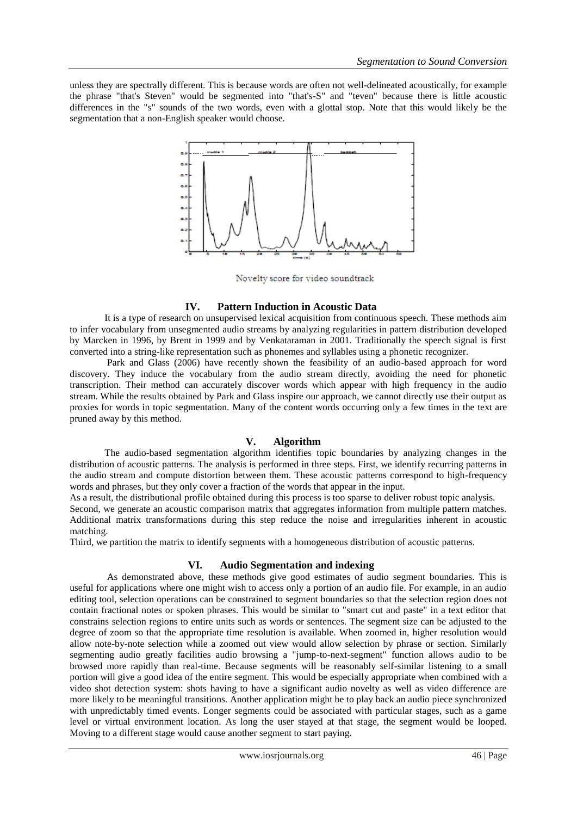unless they are spectrally different. This is because words are often not well-delineated acoustically, for example the phrase "that's Steven" would be segmented into "that's-S" and "teven" because there is little acoustic differences in the "s" sounds of the two words, even with a glottal stop. Note that this would likely be the segmentation that a non-English speaker would choose.



Novelty score for video soundtrack

## **IV. Pattern Induction in Acoustic Data**

It is a type of research on unsupervised lexical acquisition from continuous speech. These methods aim to infer vocabulary from unsegmented audio streams by analyzing regularities in pattern distribution developed by Marcken in 1996, by Brent in 1999 and by Venkataraman in 2001. Traditionally the speech signal is first converted into a string-like representation such as phonemes and syllables using a phonetic recognizer.

Park and Glass (2006) have recently shown the feasibility of an audio-based approach for word discovery. They induce the vocabulary from the audio stream directly, avoiding the need for phonetic transcription. Their method can accurately discover words which appear with high frequency in the audio stream. While the results obtained by Park and Glass inspire our approach, we cannot directly use their output as proxies for words in topic segmentation. Many of the content words occurring only a few times in the text are pruned away by this method.

# **V. Algorithm**

The audio-based segmentation algorithm identifies topic boundaries by analyzing changes in the distribution of acoustic patterns. The analysis is performed in three steps. First, we identify recurring patterns in the audio stream and compute distortion between them. These acoustic patterns correspond to high-frequency words and phrases, but they only cover a fraction of the words that appear in the input.

As a result, the distributional profile obtained during this process is too sparse to deliver robust topic analysis.

Second, we generate an acoustic comparison matrix that aggregates information from multiple pattern matches. Additional matrix transformations during this step reduce the noise and irregularities inherent in acoustic matching.

Third, we partition the matrix to identify segments with a homogeneous distribution of acoustic patterns.

## **VI. Audio Segmentation and indexing**

As demonstrated above, these methods give good estimates of audio segment boundaries. This is useful for applications where one might wish to access only a portion of an audio file. For example, in an audio editing tool, selection operations can be constrained to segment boundaries so that the selection region does not contain fractional notes or spoken phrases. This would be similar to "smart cut and paste" in a text editor that constrains selection regions to entire units such as words or sentences. The segment size can be adjusted to the degree of zoom so that the appropriate time resolution is available. When zoomed in, higher resolution would allow note-by-note selection while a zoomed out view would allow selection by phrase or section. Similarly segmenting audio greatly facilities audio browsing a "jump-to-next-segment" function allows audio to be browsed more rapidly than real-time. Because segments will be reasonably self-similar listening to a small portion will give a good idea of the entire segment. This would be especially appropriate when combined with a video shot detection system: shots having to have a significant audio novelty as well as video difference are more likely to be meaningful transitions. Another application might be to play back an audio piece synchronized with unpredictably timed events. Longer segments could be associated with particular stages, such as a game level or virtual environment location. As long the user stayed at that stage, the segment would be looped. Moving to a different stage would cause another segment to start paying.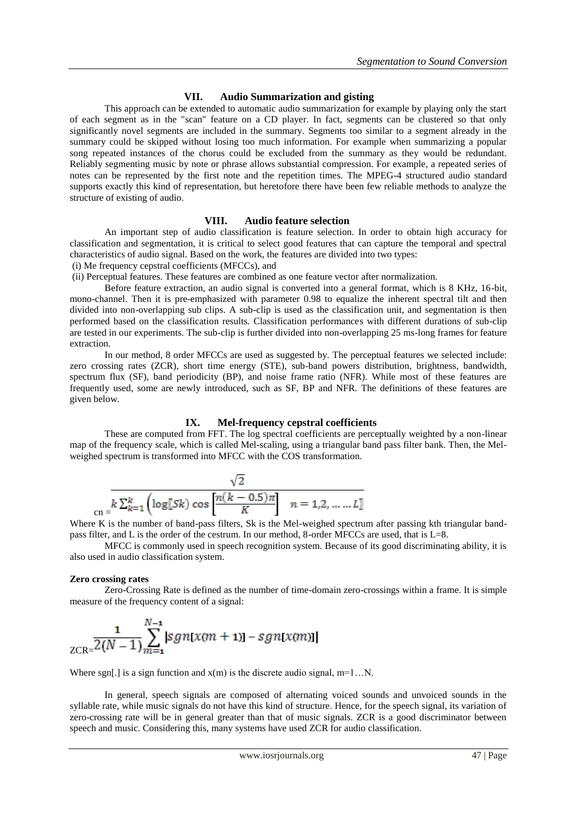# **VII. Audio Summarization and gisting**

This approach can be extended to automatic audio summarization for example by playing only the start of each segment as in the "scan" feature on a CD player. In fact, segments can be clustered so that only significantly novel segments are included in the summary. Segments too similar to a segment already in the summary could be skipped without losing too much information. For example when summarizing a popular song repeated instances of the chorus could be excluded from the summary as they would be redundant. Reliably segmenting music by note or phrase allows substantial compression. For example, a repeated series of notes can be represented by the first note and the repetition times. The MPEG-4 structured audio standard supports exactly this kind of representation, but heretofore there have been few reliable methods to analyze the structure of existing of audio.

## **VIII. Audio feature selection**

An important step of audio classification is feature selection. In order to obtain high accuracy for classification and segmentation, it is critical to select good features that can capture the temporal and spectral characteristics of audio signal. Based on the work, the features are divided into two types:

(i) Me frequency cepstral coefficients (MFCCs), and

(ii) Perceptual features. These features are combined as one feature vector after normalization.

Before feature extraction, an audio signal is converted into a general format, which is 8 KHz, 16-bit, mono-channel. Then it is pre-emphasized with parameter 0.98 to equalize the inherent spectral tilt and then divided into non-overlapping sub clips. A sub-clip is used as the classification unit, and segmentation is then performed based on the classification results. Classification performances with different durations of sub-clip are tested in our experiments. The sub-clip is further divided into non-overlapping 25 ms-long frames for feature extraction.

In our method, 8 order MFCCs are used as suggested by. The perceptual features we selected include: zero crossing rates (ZCR), short time energy (STE), sub-band powers distribution, brightness, bandwidth, spectrum flux (SF), band periodicity (BP), and noise frame ratio (NFR). While most of these features are frequently used, some are newly introduced, such as SF, BP and NFR. The definitions of these features are given below.

## **IX. Mel-frequency cepstral coefficients**

These are computed from FFT. The log spectral coefficients are perceptually weighted by a non-linear map of the frequency scale, which is called Mel-scaling, using a triangular band pass filter bank. Then, the Melweighed spectrum is transformed into MFCC with the COS transformation.

$$
\frac{\sqrt{2}}{\text{cn} = k \sum_{k=1}^{k} \left( \log[s_k) \cos \left[ \frac{n(k-0.5)\pi}{K} \right] \right) \quad n = 1, 2, \dots, L}
$$

Where K is the number of band-pass filters, Sk is the Mel-weighed spectrum after passing kth triangular bandpass filter, and L is the order of the cestrum. In our method, 8-order MFCCs are used, that is L=8.

 MFCC is commonly used in speech recognition system. Because of its good discriminating ability, it is also used in audio classification system.

#### **Zero crossing rates**

Zero-Crossing Rate is defined as the number of time-domain zero-crossings within a frame. It is simple measure of the frequency content of a signal:

$$
\frac{1}{ZCR} = \frac{1}{2(N-1)} \sum_{m=1}^{N-1} |sgn[x(m + 1)] - sgn[x(m)]|
$$

Where sgn[.] is a sign function and  $x(m)$  is the discrete audio signal, m=1...N.

In general, speech signals are composed of alternating voiced sounds and unvoiced sounds in the syllable rate, while music signals do not have this kind of structure. Hence, for the speech signal, its variation of zero-crossing rate will be in general greater than that of music signals. ZCR is a good discriminator between speech and music. Considering this, many systems have used ZCR for audio classification.